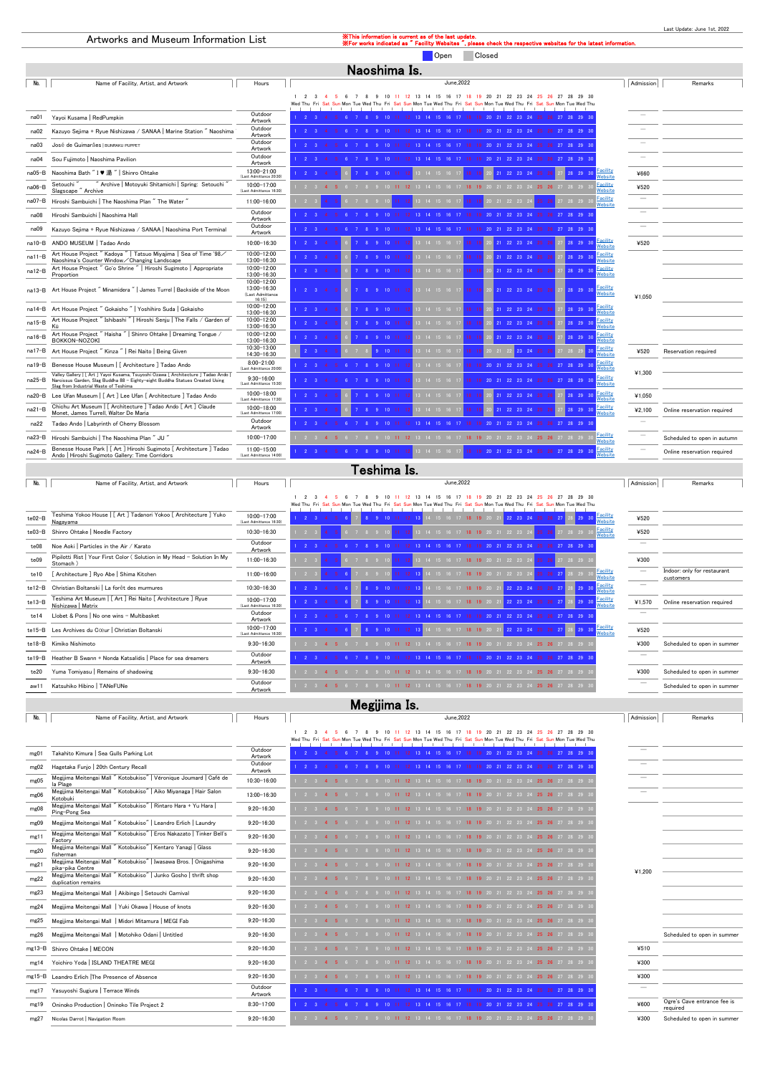#### Last Update: June 1st, 2022

#### Artworks and Museum Information List **Xamilia Second Construction** is current in the last of the last of the last update.

check the respective websites for the latest information.

Open Closed

|          | Naoshima Is.                                                                                                                                                                                               |                                                          |                                                                                                                                                                                                                                                                                          |                          |                             |  |  |
|----------|------------------------------------------------------------------------------------------------------------------------------------------------------------------------------------------------------------|----------------------------------------------------------|------------------------------------------------------------------------------------------------------------------------------------------------------------------------------------------------------------------------------------------------------------------------------------------|--------------------------|-----------------------------|--|--|
| No.      | Name of Facility, Artist, and Artwork                                                                                                                                                                      | Hours                                                    | June.2022                                                                                                                                                                                                                                                                                | Admission                | Remarks                     |  |  |
|          |                                                                                                                                                                                                            |                                                          | 11 12 13 14 15 16 17 18 19 20 21 22 23<br>10<br>$\overline{2}$<br>$\mathbf{R}$<br>-9<br>24 25 26<br>27<br>28 29 30<br>- 6<br>$\overline{7}$<br>$\mathbf{R}$<br>Wed Thu Fri<br>Sun Mon Tue Wed Thu Fri<br>Sat Sun Mon Tue Wed Thu Fri Sat Sun Mon Tue Wed Thu Fri Sat Sun Mon Tue Wed Thu |                          |                             |  |  |
| na01     | Yayoi Kusama   RedPumpkin                                                                                                                                                                                  | Outdoor<br>Artwork                                       | 19 20 21 22 23 24 25 26 27 28 29 30<br>13 14 15 16 17 18                                                                                                                                                                                                                                 |                          |                             |  |  |
| na02     | Kazuyo Sejima + Ryue Nishizawa / SANAA   Marine Station " Naoshima                                                                                                                                         | Outdoor<br>Artwork                                       |                                                                                                                                                                                                                                                                                          |                          |                             |  |  |
| na03     | José de Guimarães   BUNRAKU PUPPET                                                                                                                                                                         | Outdoor<br>Artwork                                       |                                                                                                                                                                                                                                                                                          |                          |                             |  |  |
| na04     | Sou Fujimoto   Naoshima Pavilion                                                                                                                                                                           | Outdoor<br>Artwork                                       | 27, 28, 29, 3<br>21 22 23 24                                                                                                                                                                                                                                                             |                          |                             |  |  |
| na05-B   | Naoshima Bath " I ♥ 湯 "   Shinro Ohtake                                                                                                                                                                    | 13:00-21:00<br>(Last Admittance 20:30)                   | Facility<br>28 29 30<br>$22 \t23 \t24$<br>Vebsite                                                                                                                                                                                                                                        | ¥660                     |                             |  |  |
| na06-B   | Archive   Motoyuki Shitamichi   Spring: Setouchi<br>Setouchi<br>Slagscape "Archive                                                                                                                         | 10:00-17:00<br>(Last Admittance 16:30)                   | Facility<br>Website<br>14 15 16 17 18 19 20 21 22 23 24 25 26 27 28 29                                                                                                                                                                                                                   | ¥520                     |                             |  |  |
| na07-B   | Hiroshi Sambuichi   The Naoshima Plan "The Water "                                                                                                                                                         | 11:00-16:00                                              | <b>Facility</b><br>13  14  15  16  17<br>20 21 22 23 24<br>25  26  27  28  29<br>Website                                                                                                                                                                                                 | $\overline{\phantom{a}}$ |                             |  |  |
| na08     | Hiroshi Sambuichi   Naoshima Hall                                                                                                                                                                          | Outdoor<br>Artwork                                       | 27 28 29 31                                                                                                                                                                                                                                                                              |                          |                             |  |  |
| na09     | Kazuyo Sejima + Ryue Nishizawa / SANAA   Naoshima Port Terminal                                                                                                                                            | Outdoor<br>Artwork                                       | 22 23 24                                                                                                                                                                                                                                                                                 |                          |                             |  |  |
| na10-B   | ANDO MUSEUM   Tadao Ando                                                                                                                                                                                   | 10:00-16:30                                              | Facility<br>Website<br>$2 \quad 3$<br>21 22 23 24 25<br>3 14 15 16 1<br>28 29 30                                                                                                                                                                                                         | ¥520                     |                             |  |  |
| na11-B   | Art House Project "Kadoya "   Tatsuo Miyajima   Sea of Time '98/<br>Naoshima's Counter Window / Changing Landscape                                                                                         | 10:00-12:00<br>13:00-16:30                               | Facility<br>28 29 30<br>21 22 23 24 25<br>Vebsite                                                                                                                                                                                                                                        |                          |                             |  |  |
| na12-B   | Art House Project " Go'o Shrine "   Hiroshi Sugimoto   Appropriate<br>Proportion                                                                                                                           | 10:00-12:00<br>13:00-16:30                               | Facility<br>21 22 23 24 25<br><b>Nebsite</b>                                                                                                                                                                                                                                             |                          |                             |  |  |
| na13-B   | Art House Project" Minamidera"   James Turrel   Backside of the Moon                                                                                                                                       | 10:00-12:00<br>13:00-16:30<br>(Last Admittance<br>16:15) | Facility<br>27 28 29 30<br>21 22 23 24 25<br>$13 \t14 \t15 \t16 \t11$<br><b>Nebsite</b>                                                                                                                                                                                                  | ¥1,050                   |                             |  |  |
| na14-B   | Art House Project " Gokaisho "   Yoshihiro Suda   Gokaisho                                                                                                                                                 | 10:00-12:00<br>13:00-16:30                               | <u>Facility</u><br>Website<br>18 19 20 21 22 23 24 25 26<br>$10 \t11$<br>13 14 15 16 17<br>27 28 29 30                                                                                                                                                                                   |                          |                             |  |  |
| na15-B   | Art House Project " Ishibashi "   Hiroshi Seniu   The Falls / Garden of<br>Kū                                                                                                                              | 10:00-12:00<br>13:00-16:30                               | Facility<br>28 29 30<br>$3 \t14 \t15 \t16 \t17$<br>21 22 23 24 25<br>Vebsite                                                                                                                                                                                                             |                          |                             |  |  |
| na16-B   | Art House Project" Haisha "   Shinro Ohtake   Dreaming Tongue /<br>BOKKON-NOZOKI                                                                                                                           | 10:00-12:00<br>13:00-16:30                               | Facility<br>21 22 23 24 25<br><b>Nebsite</b>                                                                                                                                                                                                                                             |                          |                             |  |  |
| na17-B   | Art House Project " Kinza "   Rei Naito   Being Given                                                                                                                                                      | 10:30-13:00<br>14:30-16:30                               | <b>Facility</b><br>$10 \quad 11$<br>20 21 22 23 24 25 26<br>13 14 15 16 17<br>18 <sup>1</sup><br>Vebsite                                                                                                                                                                                 | ¥520                     | Reservation required        |  |  |
| na19-B   | Benesse House Museum   [ Architecture ] Tadao Ando                                                                                                                                                         | $8:00 - 21:00$<br>(Last Admittance 20:00)                | Facility<br>18 19 20 21 22 23 24 25 26 27 28 29 30<br>13 14 15 16 17<br>Vebsite                                                                                                                                                                                                          |                          |                             |  |  |
| na25-B   | Valley Gallery   [ Art ] Yayoi Kusama, Tsuyoshi Ozawa [ Architecture ] Tadao Ando<br>Narcissus Garden, Slag Buddha 88 - Eighty-eight Buddha Statues Created Using<br>Slag from Industrial Waste of Teshima | $9:30 - 16:00$<br>(Last Admittance 15:30)                | Facility<br>3 14 15 16 1<br>19 20 21 22 23 24 25<br>26 27 28 29 30<br><b>Nebsite</b>                                                                                                                                                                                                     | ¥1.300                   |                             |  |  |
| na20-B   | Lee Ufan Museum   [ Art ] Lee Ufan [ Architecture ] Tadao Ando                                                                                                                                             | 10:00-18:00<br>(Last Admittance 17:30)                   | Facility<br><b>Nebsite</b>                                                                                                                                                                                                                                                               | ¥1,050                   |                             |  |  |
| $na21-B$ | Chichu Art Museum   [ Architecture ] Tadao Ando [ Art ] Claude<br>Monet, James Turrell, Walter De Maria                                                                                                    | $10:00 - 18:00$<br>(Last Admittance 17:00)               | Facility<br>22, 23, 24<br>28, 29<br>Vebsite                                                                                                                                                                                                                                              | 42,100                   | Online reservation required |  |  |
| na22     | Tadao Ando   Labyrinth of Cherry Blossom                                                                                                                                                                   | Outdoor<br>Artwork                                       | 27 28 29 30                                                                                                                                                                                                                                                                              |                          |                             |  |  |
| na23-B   | Hiroshi Sambuichi   The Naoshima Plan " JU "                                                                                                                                                               | 10:00-17:00                                              | Facility<br>25 26 27 28 29<br><b>Nebsite</b>                                                                                                                                                                                                                                             |                          | Scheduled to open in autumn |  |  |
| $na24-B$ | Benesse House Park   [ Art ] Hiroshi Sugimoto [ Architecture ] Tadao<br>Ando   Hiroshi Sugimoto Gallery: Time Corridors                                                                                    | 11:00-15:00<br>(Last Admittance 14:00)                   | Facility<br>18 19 20 21 22 23 24 25 26 27 28 29<br>13 14 15 16 17<br><b>Nebsite</b>                                                                                                                                                                                                      |                          | Online reservation required |  |  |

| No.      | Name of Facility, Artist, and Artwork                                              | Hours                                      | June.2022                                                                                                                                                                                 | Admission | Remarks                                  |  |  |  |  |
|----------|------------------------------------------------------------------------------------|--------------------------------------------|-------------------------------------------------------------------------------------------------------------------------------------------------------------------------------------------|-----------|------------------------------------------|--|--|--|--|
|          |                                                                                    |                                            | 13<br>15<br>22<br>23<br>24<br>25<br>29 30<br>14<br>16<br>28<br>Wed Thu Fri Sat Sun Mon Tue Wed Thu Fri<br>Sat Sun Mon Tue Wed Thu Fri Sat Sun Mon Tue Wed Thu Fri Sat Sun Mon Tue Wed Thu |           |                                          |  |  |  |  |
| te02-B   | Teshima Yokoo House   [ Art ] Tadanori Yokoo [ Architecture ] Yuko<br>Nagayama     | $10:00 - 17:00$<br>(Last Admittance 16:30) | <u>Facility</u><br>Website<br>22, 23, 24                                                                                                                                                  | ¥520      |                                          |  |  |  |  |
| $te03-B$ | Shinro Ohtake   Needle Factory                                                     | 10:30-16:30                                | <b>Facility</b><br>Website<br>25 26 27 28 29<br>13 14 15 16 17 18 19 20 21 22 23 24                                                                                                       | ¥520      |                                          |  |  |  |  |
| te08     | Noe Aoki   Particles in the Air / Karato                                           | Outdoor<br>Artwork                         | 28 29 30                                                                                                                                                                                  |           |                                          |  |  |  |  |
| te09     | Pipilotti Rist   Your First Color (Solution in My Head - Solution In My<br>Stomach | 11:00-16:30                                | 25 26 27 28 29 3<br>11 12 13 14 15 16 17 1 <mark>8 19</mark> 20 21 22 23 24 1                                                                                                             | ¥300      |                                          |  |  |  |  |
| te10     | [ Architecture ] Ryo Abe   Shima Kitchen                                           | 11:00-16:00                                | <b>Facility</b><br>11 12 13 14 15 16 17 18 19 20 21 22 23 24<br>25 26 27 28 29<br>Website                                                                                                 |           | Indoor: only for restaurant<br>customers |  |  |  |  |
| $te12-B$ | Christian Boltanski   La forêt des murmures                                        | 10:30-16:30                                | Facility<br>$3 \ 29 \ 30$<br>Website                                                                                                                                                      |           |                                          |  |  |  |  |
| te13-B   | Teshima Art Museum   [ Art ] Rei Naito [ Architecture ] Ryue<br>Nishizawa   Matrix | 10:00-17:00<br>(Last Admittance 16:30)     | Facility<br>Website<br>10 11 12 13 14 15 16 17 18 19 20 2<br>1 22 23 24 25 26 27 28 29 30                                                                                                 | ¥1,570    | Online reservation required              |  |  |  |  |
| te14     | Llobet & Pons   No one wins - Multibasket                                          | Outdoor<br>Artwork                         | 27 28 29 30                                                                                                                                                                               |           |                                          |  |  |  |  |
| te15-B   | Les Archives du Cœur   Christian Boltanski                                         | 10:00-17:00<br>(Last Admittance 16:30)     | <b>Facility</b><br>Website<br>22 23 24 25 26<br>$29 \ 30$                                                                                                                                 | ¥520      |                                          |  |  |  |  |
|          | te18-B Kimiko Nishimoto                                                            | $9:30 - 16:30$                             | 20 21 22 23 24 25 26 27 28 29                                                                                                                                                             | ¥300      | Scheduled to open in summer              |  |  |  |  |
| te19–B   | Heather B Swann + Nonda Katsalidis   Place for sea dreamers                        | Outdoor<br>Artwork                         |                                                                                                                                                                                           |           |                                          |  |  |  |  |
| te20     | Yuma Tomiyasu   Remains of shadowing                                               | $9:30 - 16:30$                             | 25 26 27 28 29<br>18 19 20 21 22 23 24                                                                                                                                                    | ¥300      | Scheduled to open in summer              |  |  |  |  |
| aw11     | Katsuhiko Hibino   TANeFUNe                                                        | Outdoor<br>Artwork                         | 13 14 15 16 17 18 19 20 21 22 23 24 25 26 27 28 29 3<br>2 3 4 5                                                                                                                           |           | Scheduled to open in summer              |  |  |  |  |
|          | $M_{\odot}$ $\ddot{\sim}$ $\ddot{\sim}$                                            |                                            |                                                                                                                                                                                           |           |                                          |  |  |  |  |

| No.        | Name of Facility, Artist, and Artwork                                                   | Hours              | June.2022                                                                                                                                      | Admission | Remarks                                 |
|------------|-----------------------------------------------------------------------------------------|--------------------|------------------------------------------------------------------------------------------------------------------------------------------------|-----------|-----------------------------------------|
|            |                                                                                         |                    | 11 12 13 14 15 16<br>10<br>- 17<br>-18<br>20<br>21<br>-22<br>23<br>Sun Mon Tue Wed Thu Fri Sat Sun Mon Tue Wed Thu Fri Sat Sun Mon Tue Wed Thu |           |                                         |
| mg01       | Takahito Kimura   Sea Gulls Parking Lot                                                 | Outdoor<br>Artwork | 9 10 11 12 13 14 15 16 17 18 19 20 21 22 23 24 25 26 27 28 29 30                                                                               |           |                                         |
| mg02       | Hagetaka Funjo   20th Century Recall                                                    | Outdoor<br>Artwork | 13 14 15 16 17 18 19 20 21 22 23 24 25 26 27 28 29 30                                                                                          |           |                                         |
| mg05       | Megijima Meitengai Mall "Kotobukiso"   Véronique Joumard   Café de<br>la Plage          | 10:30-16:00        | 13 14 15 16 17 18 19 20 21 22 23 24 25 26 27 28 29<br>$10$ 11 12                                                                               |           |                                         |
| mg06       | Megijima Meitengai Mall " Kotobukiso"   Aiko Miyanaga   Hair Salon<br>Kotobuki          | 13:00-16:30        | 2 3 4 5 6 7 8 9 10 11 12 13 14 15 16 17 18 19 20 21 22 23 24 25 26 27 28 29                                                                    |           |                                         |
| mg08       | Megijima Meitengai Mall "Kotobukiso"   Rintaro Hara + Yu Hara  <br>Ping-Pong Sea        | $9:20 - 16:30$     | 2 3 4 5 6 7 8 9 10 11 12 13 14 15 16 17 18 19 20 21 22 23 24 25 26 27 28 29                                                                    |           |                                         |
| mg09       | Megijima Meitengai Mall "Kotobukiso"   Leandro Erlich   Laundry                         | $9:20 - 16:30$     | 9 10 11 12 13 14 15 16 17 18 19 20 21 22 23 24 25 26 27 28 29<br>$2 \quad 3 \quad 4$                                                           |           |                                         |
| mg11       | Megijima Meitengai Mall "Kotobukiso"   Eros Nakazato   Tinker Bell's<br>Factory         | $9:20 - 16:30$     | 2 3 4 5 6 7 8 9 10 11 12 13 14 15 16 17 18 19 20 21 22 23 24 25 26 27 28 29 3                                                                  |           |                                         |
| mg20       | Megijima Meitengai Mall "Kotobukiso"   Kentaro Yanagi   Glass<br>fisherman              | $9:20 - 16:30$     | 2 3 4 5 6 7 8 9 10 11 12 13 14 15 16 17 18 19 20 21 22 23 24 25 26 27 28 29 3                                                                  |           |                                         |
| mg21       | Megijima Meitengai Mall "Kotobukiso"   Iwasawa Bros.   Onigashima<br>pika-pika Centre   | $9:20 - 16:30$     | 2 3 4 5<br>7 8 9 10 11 12 13 14 15 16 17 18 19 20 21 22 23 24 25 26 27 28 29 3                                                                 | ¥1.200    |                                         |
| mg22       | Megijima Meitengai Mall "Kotobukiso"   Junko Gosho   thrift shop<br>duplication remains | $9:20 - 16:30$     | 2 3 4 5 6 7 8 9 10 11 12 13 14 15 16 17 18 19 20 21 22 23 24 25 26 27 28 29 3                                                                  |           |                                         |
|            | Megijima Meitengai Mall   Akibingo   Setouchi Carnival                                  | $9:20 - 16:30$     | 2 3 4 5 6 7 8 9 10 11 12 13 14 15 16 17 18 19 20 21 22 23 24 25 26 27 28 29                                                                    |           |                                         |
| mg24       | Megijima Meitengai Mall   Yuki Okawa   House of knots                                   | $9:20 - 16:30$     | 8 9 10 <b>11 12</b> 13 14 15 16 17 <b>18 19</b> 20 21 22 23 24 <b>25 26</b> 27 28 29 3<br>2 3 4 5                                              |           |                                         |
| mg25       | Megijima Meitengai Mall   Midori Mitamura   MEGI Fab                                    | $9:20 - 16:30$     | 2 3 4 5<br>7 8 9 10 11 12 13 14 15 16 17 18 19 20 21 22 23 24 25 26 27 28 29 3                                                                 |           |                                         |
| mg26       | Megijima Meitengai Mall   Motohiko Odani   Untitled                                     | $9:20 - 16:30$     | 2 3 4 5 6 7 8 9 10 11 12 13 14 15 16 17 18 19 20 21 22 23 24 25 26 27 28 29                                                                    |           | Scheduled to open in summer             |
| $mg13 - B$ | Shinro Ohtake   MECON                                                                   | $9:20 - 16:30$     | 8 9 10 11 12 13 14 15 16 17 18 19 20 21 22 23 24 25 26 27 28 29<br>2 3 4 5                                                                     | ¥510      |                                         |
| mg14       | Yoichiro Yoda   ISLAND THEATRE MEGI                                                     | $9:20 - 16:30$     | 2 3 4 5<br>6 7 8 9 10 11 12 13 14 15 16 17 18 19 20 21 22 23 24 25 26 27 28 29 3                                                               | ¥300      |                                         |
| $me15-B$   | Leandro Erlich The Presence of Absence                                                  | $9:20 - 16:30$     | 2 3 4 5 6 7 8 9 10 11 12 13 14 15 16 17 18 19 20 21 22 23 24 25 26 27 28 29                                                                    | ¥300      |                                         |
| mg17       | Yasuyoshi Sugiura   Terrace Winds                                                       | Outdoor<br>Artwork | 11 12 13 14 15 16 17 18<br>19 20 21 22 23 24 25                                                                                                |           |                                         |
| mg19       | Oninoko Production   Oninoko Tile Project 2                                             | $8:30 - 17:00$     | 20 21 22 23 24 25<br>26 27 28 29 30                                                                                                            | ¥600      | Ogre's Cave entrance fee is<br>required |
| mg27       | Nicolas Darrot   Navigation Room                                                        | $9:20 - 16:30$     | 2 3 4 5 6 7 8 9 10 11 12 13 14 15 16 17 18 19 20 21 22 23 24 25 26 27 28 29 3                                                                  | ¥300      | Scheduled to open in summer             |

## Teshima Is.

#### Megijima Is.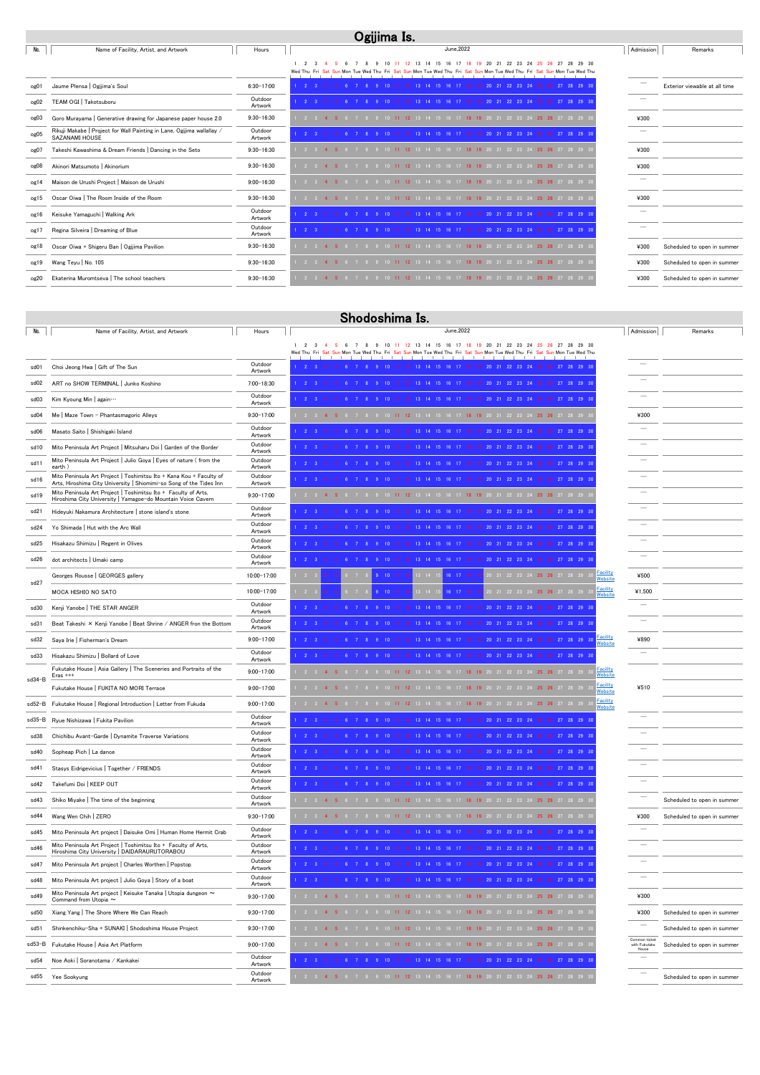| No.              | Name of Facility, Artist, and Artwork                                                    | Hours              | June.2022                                                                                                                                                                                       | Admission | Remarks                       |
|------------------|------------------------------------------------------------------------------------------|--------------------|-------------------------------------------------------------------------------------------------------------------------------------------------------------------------------------------------|-----------|-------------------------------|
|                  |                                                                                          |                    | 10 11 12 13 14 15 16 17 18 19 20 21 22 23 24 25 26 27 28 29 30<br>-9<br>Wed Thu Fri Sat Sun Mon Tue Wed Thu Fri Sat Sun Mon Tue Wed Thu Fri Sat Sun Mon Tue Wed Thu Fri Sat Sun Mon Tue Wed Thu |           |                               |
|                  |                                                                                          |                    |                                                                                                                                                                                                 |           |                               |
| og01             | Jaume Plensa   Ogijima's Soul                                                            | $6:30 - 17:00$     | 2 3 4 5 6 7 8 9 10 11 12 13 14 15 16 17 18 19 20 21 22 23 24 25 26 27 28 29 30                                                                                                                  |           | Exterior viewable at all time |
| og02             | TEAM OGI   Takotsuboru                                                                   | Outdoor<br>Artwork | 9 10 11 12 13 14 15 16 17 18 19 20 21 22 23 24 25 26 27 28 29 30                                                                                                                                |           |                               |
| og03             | Goro Murayama   Generative drawing for Japanese paper house 2.0                          | $9:30 - 16:30$     | 2 3 4 5 6 7 8 9 10 11 12 13 14 15 16 17 18 19 20 21 22 23 24 25 26 27 28 29 3                                                                                                                   | ¥300      |                               |
| $_{\text{og05}}$ | Rikuji Makabe   Project for Wall Painting in Lane, Ogijima wallallay /<br>SAZANAMI HOUSE | Outdoor<br>Artwork | 1 2 3 4 5 6 7 8 9 10 11 12 13 14 15 16 17 18 19 20 21 22 23 24 25 26 27 28 29 30                                                                                                                |           |                               |
| og07             | Takeshi Kawashima & Dream Friends   Dancing in the Seto                                  | $9:30 - 16:30$     | 6 7 8 9 10 11 12 13 14 15 16 17 18 19 20 21 22 23 24 25 26 27 28 29 3                                                                                                                           | ¥300      |                               |
| og08             | Akinori Matsumoto   Akinorium                                                            | $9:30 - 16:30$     | 2 3 4 5 6 7 8 9 10 11 12 13 14 15 16 17 18 19 20 21 22 23 24 25 26 27 28 29 3                                                                                                                   | ¥300      |                               |
| og14             | Maison de Urushi Project   Maison de Urushi                                              | $9:00 - 16:30$     | 6 7 8 9 10 11 12 13 14 15 16 17 18 19 20 21 22 23 24 25 26 27 28 29 3                                                                                                                           |           |                               |
| og15             | Oscar Oiwa   The Room Inside of the Room                                                 | $9:30 - 16:30$     | 2 3 4 5 6 7 8 9 10 11 12 13 14 15 16 17 18 19 20 21 22 23 24 25 26 27 28 29 3                                                                                                                   | ¥300      |                               |
| og16             | Keisuke Yamaguchi   Walking Ark                                                          | Outdoor<br>Artwork | 1 2 3 4 5 6 7 8 9 10 11 12 13 14 15 16 17 18 19 20 21 22 23 24 25 26 27 28 29 30                                                                                                                |           |                               |
| og17             | Regina Silveira   Dreaming of Blue                                                       | Outdoor<br>Artwork | 2 3 4 5 6 7 8 9 10 11 12 13 14 15 16 17 18 19 20 21 22 23 24 25 26 27 28 29 30                                                                                                                  |           |                               |
| og18             | Oscar Oiwa + Shigeru Ban   Ogijima Pavilion                                              | $9:30 - 16:30$     | 6 7 8 9 10 11 12 13 14 15 16 17 18 19 20 21 22 23 24 25 26 27 28 29 3<br>$\overline{2}$ $\overline{3}$ $\overline{4}$                                                                           | ¥300      | Scheduled to open in summer   |
| og19             | Wang Teyu   No. 105                                                                      | $9:30 - 16:30$     | 7 8 9 10 11 12 13 14 15 16 17 18 19 20 21 22 23 24 25 26 27 28 29 3                                                                                                                             | ¥300      | Scheduled to open in summer   |
| og20             | Ekaterina Muromtseva   The school teachers                                               | $9:30 - 16:30$     | 6 7 8 9 10 11 12 13 14 15 16 17 18 19 20 21 22 23 24 25 26 27 28 29 3<br>$2 \t3 \t4 \t5$                                                                                                        | ¥300      | Scheduled to open in summer   |

|        | Shodoshima Is.                                                                                                                             |                          |                                                                                                                                                                                                                  |           |                             |  |  |  |
|--------|--------------------------------------------------------------------------------------------------------------------------------------------|--------------------------|------------------------------------------------------------------------------------------------------------------------------------------------------------------------------------------------------------------|-----------|-----------------------------|--|--|--|
| No.    | Name of Facility, Artist, and Artwork                                                                                                      | Hours                    | June, 2022                                                                                                                                                                                                       | Admission | Remarks                     |  |  |  |
|        |                                                                                                                                            |                          | 15<br>16 17<br>20 21 22 23 24 25<br>- 3<br>13<br>14<br>-18<br>- 19<br>- 26<br>27 28<br>29 30<br>Wed Thu Fri Sat Sun Mon Tue Wed Thu<br>n Mon Tue Wed Thu Fri Sat Sun Mon Tue Wed Thu Fri Sat Sun Mon Tue Wed Thu |           |                             |  |  |  |
| sd01   | Choi Jeong Hwa   Gift of The Sun                                                                                                           | Outdoor<br>Artwork       | $1 \quad 2 \quad 3$<br>6 7 8 9 10 11 12 13 14 15 16 17 18 19 20 21 22 23 24 25 26 27 28 29 3<br>$\overline{4}$                                                                                                   |           |                             |  |  |  |
| sd02   | ART no SHOW TERMINAL   Junko Koshino                                                                                                       | 7:00-18:30               | 22 23 24                                                                                                                                                                                                         |           |                             |  |  |  |
| sd03   | Kim Kyoung Min   again                                                                                                                     | Outdoor<br>Artwork       | $\begin{array}{ccc} \end{array}$ 2 3                                                                                                                                                                             |           |                             |  |  |  |
| sd04   | Me   Maze Town - Phantasmagoric Alleys                                                                                                     | $9:30 - 17:00$           | $\begin{array}{ccc} & 2 & 3 \end{array}$<br>$10$ 11 12<br>13 14 15 16 17 <b>18 19</b> 20 21 22 23 24 <b>25 26</b> 27 28 29                                                                                       | ¥300      |                             |  |  |  |
| sd06   | Masato Saito   Shishigaki Island                                                                                                           | Outdoor<br>Artwork       | $1 \quad 2 \quad 3 \quad 4$<br>10 11 12 13 14 15 16 17<br>19 20 21 22 23 24                                                                                                                                      |           |                             |  |  |  |
| sd10   | Mito Peninsula Art Project   Mitsuharu Doi   Garden of the Border                                                                          | Outdoor<br>Artwork       | $\sim$ 2 3<br>20 21 22 23 24<br>27 28 29                                                                                                                                                                         |           |                             |  |  |  |
| sd11   | Mito Peninsula Art Project   Julio Goya   Eyes of nature (from the<br>earth)                                                               | Outdoor<br>Artwork       | 2 <sup>2</sup>                                                                                                                                                                                                   |           |                             |  |  |  |
| sd16   | Mito Peninsula Art Project   Toshimitsu Ito + Kana Kou + Faculty of<br>Arts, Hiroshima City University   Shiomimi-so Song of the Tides Inn | Outdoor<br>Artwork       | $\sim$ 2<br>23 24<br>27 28 29<br>-22                                                                                                                                                                             |           |                             |  |  |  |
| sd19   | Mito Peninsula Art Project   Toshimitsu Ito + Faculty of Arts,<br>Hiroshima City University   Yamagoe-do Mountain Voice Cavern             | $9:30 - 17:00$           | $2 \quad 3 \quad 4$<br>$10 \quad 11 \quad 12$<br>0 21 22 23 24 <b>25 26</b> 27 28 29                                                                                                                             |           |                             |  |  |  |
| sd21   | Hideyuki Nakamura Architecture   stone island's stone                                                                                      | Outdoor<br>Artwork       | 20 21 22 23 24<br>27 28 29<br>14 15                                                                                                                                                                              |           |                             |  |  |  |
| sd24   | Yo Shimada   Hut with the Arc Wall                                                                                                         | Outdoor<br>Artwork       | 28 29                                                                                                                                                                                                            |           |                             |  |  |  |
| sd25   | Hisakazu Shimizu   Regent in Olives                                                                                                        | Outdoor<br>Artwork       | 27 28 29<br>22 23 24<br>- 21-                                                                                                                                                                                    |           |                             |  |  |  |
| sd26   | dot architects   Umaki camp                                                                                                                | Outdoor<br>Artwork       | 28 29                                                                                                                                                                                                            |           |                             |  |  |  |
|        | Georges Rousse   GEORGES gallery                                                                                                           | 10:00-17:00              | Facility<br>Website<br>16 17<br>22 23 24 25 26 27 28 29                                                                                                                                                          | ¥500      |                             |  |  |  |
| sd27   | MOCA HISHIO NO SATO                                                                                                                        | 10:00-17:00              | Facility<br>Website<br>16 17<br>22 23 24 <b>25 26</b> 27 28 29                                                                                                                                                   | ¥1,500    |                             |  |  |  |
| sd30   | Kenji Yanobe   THE STAR ANGER                                                                                                              | Outdoor<br>Artwork       |                                                                                                                                                                                                                  |           |                             |  |  |  |
| sd31   | Beat Takeshi × Kenji Yanobe   Beat Shrine / ANGER fron the Bottom                                                                          | Outdoor<br>Artwork       | 27 28 29 3<br>- 23                                                                                                                                                                                               |           |                             |  |  |  |
| sd32   | Saya Irie   Fisherman's Dream                                                                                                              | $9:00 - 17:00$           | Facility<br>Website<br>$1 \quad 2 \quad 3$<br>28 29 30                                                                                                                                                           | ¥890      |                             |  |  |  |
| sd33   | Hisakazu Shimizu   Bollard of Love                                                                                                         | Outdoor<br>Artwork       |                                                                                                                                                                                                                  |           |                             |  |  |  |
| sd34-B | Fukutake House   Asia Gallery   The Sceneries and Portraits of the<br>$Eras$ +++                                                           | $9:00 - 17:00$           | <b>Facility</b><br>$2 \quad 3$<br>Website                                                                                                                                                                        |           |                             |  |  |  |
|        | Fukutake House   FUKITA NO MORI Terrace                                                                                                    | $9:00 - 17:00$           | Facility<br>Website<br>2 3 4 5<br>22 23 24 25 26 27 28 29                                                                                                                                                        | ¥510      |                             |  |  |  |
|        | sd52-B Fukutake House   Regional Introduction   Letter from Fukuda                                                                         | $9:00 - 17:00$           | <b>Facility</b><br>2 3 4 5 6 7 8 9 10 11 12 13 14 15 16 17 18 19 20 21 22 23 24 25 26 27 28 29 3<br>Website                                                                                                      |           |                             |  |  |  |
| sd35−B | Ryue Nishizawa   Fukita Pavilion                                                                                                           | <b>Outdoo</b><br>Artwork | $2 \quad 3 \quad 4$<br>5  6  7  8  9  10  11  12  13  14  15  16  17  18  19  20  21  22  23  24  25  26  27  28  29  30                                                                                         |           |                             |  |  |  |
| sd38   | Chichibu Avant-Garde   Dynamite Traverse Variations                                                                                        | Outdoor<br>Artwork       | 1  2  3  4  5  6  7  8  9 10 11 12 13 14 15 16 17 18 19 20 21 22 23 24 25 26 27 28 29 30                                                                                                                         |           |                             |  |  |  |
| sd40   | Sopheap Pich   La dance                                                                                                                    | Outdoor<br>Artwork       | 2 3 4 5 6 7 8 9 10 11 12 13 14 15 16 17 18 19 20 21 22 23 24 25 26 27 28 29 30                                                                                                                                   |           |                             |  |  |  |
| sd41   | Stasys Eidrigevicius   Together / FRIENDS                                                                                                  | Outdoor<br>Artwork       | 2 3 4 5 6 7 8 9 10 11 12 13 14 15 16 17 18 19 20 21 22 23 24 25 26 27 28 29 30                                                                                                                                   |           |                             |  |  |  |
| sd42   | Takefumi Doi   KEEP OUT                                                                                                                    | Outdoor<br>Artwork       | 1 2 3 4 5 6 7 8 9 10 11 12 13 14 15 16 17 18 19 20 21 22 23 24 25 26 27 28 29 30                                                                                                                                 |           |                             |  |  |  |
| sd43   | Shiko Miyake   The time of the beginning                                                                                                   | Outdoor<br>Artwork       | 1 2 3 4 5 6 7 8 9 10 11 12 13 14 15 16 17 18 19 20 21 22 23 24 25 26 27 28 29                                                                                                                                    |           | Scheduled to open in summer |  |  |  |

| sd44   | Wang Wen Chih   ZERO                                                                                            | $9:30 - 17:00$     | 12 13 14 15 16 17 18 19 20 21 22 23 24 25 26 27 28 29 3                    | ¥300                                    | Scheduled to open in summer |
|--------|-----------------------------------------------------------------------------------------------------------------|--------------------|----------------------------------------------------------------------------|-----------------------------------------|-----------------------------|
| sd45   | Mito Peninsula Art project   Daisuke Omi   Human Home Hermit Crab                                               | Outdoor<br>Artwork |                                                                            |                                         |                             |
| sd46   | Mito Peninsula Art Project   Toshimitsu Ito + Faculty of Arts,<br>Hiroshima City University   DAIDARAURUTORABOU | Outdoor<br>Artwork | 12 13 14 15 16 17 18 19 20 21 22 23 24                                     |                                         |                             |
| sd47   | Mito Peninsula Art project   Charles Worthen   Popstop                                                          | Outdoor<br>Artwork |                                                                            |                                         |                             |
| sd48   | Mito Peninsula Art project   Julio Goya   Story of a boat                                                       | Outdoor<br>Artwork | 12 13 14 15 16 17 18 19 20 21 22 23 24                                     |                                         |                             |
| sd49   | Mito Peninsula Art project   Keisuke Tanaka   Utopia dungeon ~<br>Command from Utopia $\sim$                    | $9:30 - 17:00$     |                                                                            | ¥300                                    |                             |
| sd50   | Xiang Yang   The Shore Where We Can Reach                                                                       | $9:30 - 17:00$     | 10 11 12 13 14 15 16 17 18 19 20 21 22 23 24 25 26 27 28 29 30             | ¥300                                    | Scheduled to open in summer |
| sd5    | Shinkenchiku-Sha + SUNAKI   Shodoshima House Project                                                            | $9:30 - 17:00$     | 21 22 23 24 25 26 27 28 29 3                                               |                                         | Scheduled to open in summer |
| sd53-B | Fukutake House   Asia Art Platform                                                                              | $9:00 - 17:00$     | 10 11 12 13 14 15 16 17 18 19 20 21 22 23 24 25 26 27 28 29 30             | Common ticket<br>with Fukutake<br>House | Scheduled to open in summer |
| sd54   | Noe Aoki   Soranotama / Kankakei                                                                                | Outdoor<br>Artwork |                                                                            |                                         |                             |
| sd55   | Yee Sookyung                                                                                                    | Outdoor<br>Artwork | 12 13 14 15 16 17 18 19 20 21 22 23 24 25 26 27 28 29 3<br>2 3 4 5 6 7 8 9 |                                         | Scheduled to open in summer |

# Ogijima Is.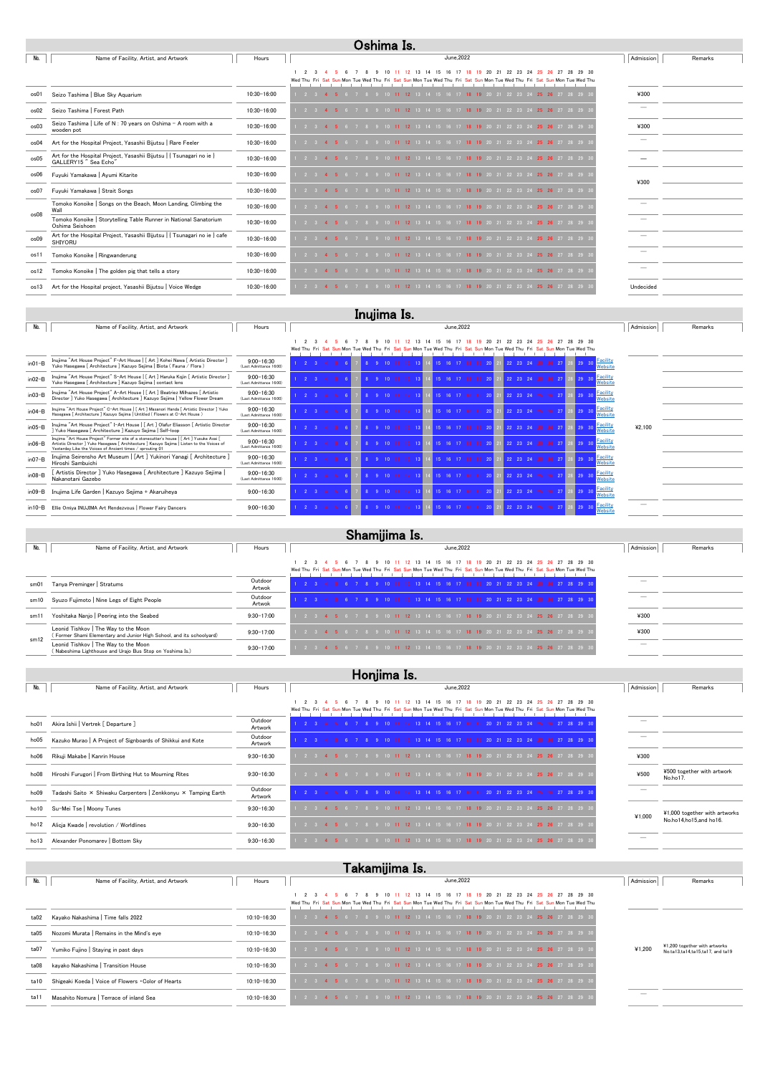| No.  | Name of Facility, Artist, and Artwork                                                        | Hours       | June.2022                                                                                        | Admission                | Remarks |
|------|----------------------------------------------------------------------------------------------|-------------|--------------------------------------------------------------------------------------------------|--------------------------|---------|
|      |                                                                                              |             | 29 30<br>22<br>23<br>Sun Mon Tue Wed Thu Fri Sat Sun Mon Tue Wed Thu Fri Sat Sun Mon Tue Wed Thu |                          |         |
| os01 | Seizo Tashima   Blue Sky Aquarium                                                            | 10:30-16:00 | 7 8 9 10 11 12 13 14 15 16 17 18 19 20 21 22 23 24 25 26 27 28 29<br>$\sqrt{2}$ 3 4              | ¥300                     |         |
| os02 | Seizo Tashima   Forest Path                                                                  | 10:30-16:00 | 8 9 10 11 12 13 14 15 16 17 18 19 20 21 22 23 24 25 26 27 28 29                                  | $\overline{\phantom{a}}$ |         |
| os03 | Seizo Tashima   Life of N : 70 years on Oshima - A room with a<br>wooden pot                 | 10:30-16:00 | 2 3 4 5 6 7 8 9 10 11 12 13 14 15 16 17 18 19 20 21 22 23 24 25 26 27 28 29 3                    | ¥300                     |         |
| os04 | Art for the Hospital Project, Yasashii Bijutsu   Rare Feeler                                 | 10:30-16:00 | 8 9 10 11 12 13 14 15 16 17 18 19 20 21 22 23 24 25 26 27 28 29 3<br>$2 \t3 \t4 \t5$             |                          |         |
| os05 | Art for the Hospital Project, Yasashii Bijutsu   { Tsunagari no ie }<br>GALLERY15" Sea Echo" | 10:30-16:00 | 2 3 4 5 6 7 8 9 10 11 12 13 14 15 16 17 18 19 20 21 22 23 24 25 26 27 28 29 3                    |                          |         |
| os06 | Fuyuki Yamakawa   Ayumi Kitarite                                                             | 10:30-16:00 | $2 \t3 \t4 \t5$<br>6 7 8 9 10 11 12 13 14 15 16 17 18 19 20 21 22 23 24 25 26 27 28 29           | ¥300                     |         |
| os07 | Fuyuki Yamakawa   Strait Songs                                                               | 10:30-16:00 | 6 7 8 9 10 11 12 13 14 15 16 17 18 19 20 21 22 23 24 25 26 27 28 29 3<br>2 3 4 5                 |                          |         |
| os08 | Tomoko Konoike   Songs on the Beach, Moon Landing, Climbing the<br>Wall                      | 10:30-16:00 | 2 3 4 5 6 7 8 9 10 11 12 13 14 15 16 17 18 19 20 21 22 23 24 25 26 27 28 29                      |                          |         |
|      | Tomoko Konoike   Storytelling Table Runner in National Sanatorium<br>Oshima Seishoen         | 10:30-16:00 | 6 7 8 9 10 11 12 13 14 15 16 17 18 19 20 21 22 23 24 25 26 27 28 29 3<br>2 3 4 5                 |                          |         |
| os09 | Art for the Hospital Project, Yasashii Bijutsu   { Tsunagari no ie } cafe<br><b>SHIYORU</b>  | 10:30-16:00 | 2 3 4 5 6 7 8 9 10 11 12 13 14 15 16 17 18 19 20 21 22 23 24 25 26 27 28 29                      |                          |         |
| os11 | Tomoko Konoike   Ringwanderung                                                               | 10:30-16:00 | 10 11 12 13 14 15 16 17 18 19 20 21 22 23 24 25 26 27 28 29<br>2 3 4 5                           |                          |         |
| os12 | Tomoko Konoike   The golden pig that tells a story                                           | 10:30-16:00 | 2 3 4 5 6 7 8 9 10 11 12 13 14 15 16 17 18 19 20 21 22 23 24 25 26 27 28 29 3                    |                          |         |
| os13 | Art for the Hospital project, Yasashii Bijutsu   Voice Wedge                                 | 10:30-16:00 | 10 11 12 13 14 15 16 17 1 <b>8 19</b> 20 21 22 23 24 <b>25 26</b> 27 28 29 3                     | Undecided                |         |

|             | піцінна і з.                                                                                                                                                                                                                                        |                                           |                                                                                                                                           |           |         |  |  |  |  |  |
|-------------|-----------------------------------------------------------------------------------------------------------------------------------------------------------------------------------------------------------------------------------------------------|-------------------------------------------|-------------------------------------------------------------------------------------------------------------------------------------------|-----------|---------|--|--|--|--|--|
| No.         | Name of Facility, Artist, and Artwork                                                                                                                                                                                                               | Hours                                     | June.2022                                                                                                                                 | Admission | Remarks |  |  |  |  |  |
|             |                                                                                                                                                                                                                                                     |                                           | 23<br>24<br>15<br>Wed Thu Fri Sat Sun Mon Tue Wed Thu Fri Sat Sun Mon Tue Wed Thu Fri Sat Sun Mon Tue Wed Thu Fri Sat Sun Mon Tue Wed Thu |           |         |  |  |  |  |  |
| $in01-B$    | Inujima "Art House Project" F-Art House   [ Art ] Kohei Nawa [ Artistic Director ]<br>Yuko Hasegawa [ Architecture ] Kazuyo Sejima   Biota ( Fauna / Flora )                                                                                        | $9:00 - 16:30$<br>(Last Admittance 16:00) | Facility<br>Website                                                                                                                       |           |         |  |  |  |  |  |
| $in02-B$    | Inujima "Art House Project" S-Art House   [ Art ] Haruka Kojin [ Artistic Director ]<br>Yuko Hasegawa [ Architecture ] Kazuyo Sejima   contact lens                                                                                                 | $9:00 - 16:30$<br>(Last Admittance 16:00) | 9 29 30 Facility<br>Website                                                                                                               |           |         |  |  |  |  |  |
| $in 03 - B$ | Inujima "Art House Project" A-Art House   [ Art ] Beatriez Milhazes [ Artistic<br>Director ] Yuko Hasegawa [ Architecture ] Kazuyo Sejima   Yellow Flower Dream                                                                                     | $9:00 - 16:30$<br>(Last Admittance 16:00) | 25  26  27  28  29  30  Facility<br>Website                                                                                               |           |         |  |  |  |  |  |
| $in04-B$    | Inujima "Art House Project" C-Art House   [ Art ] Masanori Handa [ Artistic Director ] Yuko<br>Hasegawa   Architecture   Kazuvo Seiima   Untitled (Flowers at C-Art House)                                                                          | $9:00 - 16:30$<br>(Last Admittance 16:00) | 26 27 28 29 30 Eacility<br>Website                                                                                                        |           |         |  |  |  |  |  |
| $in05-B$    | Inujima "Art House Project" I-Art House   [ Art ] Olafur Eliasson [ Artistic Director<br>Yuko Hasegawa [ Architecture ] Kazuyo Sejima   Self-loop                                                                                                   | $9:00 - 16:30$<br>(Last Admittance 16:00) | 25  26  27  28  29  30  Facility<br>Website                                                                                               | ¥2.100    |         |  |  |  |  |  |
| $in 06 - B$ | Inujima "Art House Project" Former site of a stonecutter's house   [ Art ] Yusuke Asai [<br>Artistic Director ] Yuko Hasegawa [ Architecture ] Kazuyo Sejima   Listen to the Voices of<br>Yesterday Like the Voices of Ancient times / sprouting 01 | $9:00 - 16:30$<br>(Last Admittance 16:00) | 25 26 27 28 29 30 <mark>Facility</mark><br>22 23 24                                                                                       |           |         |  |  |  |  |  |
| $in 07 - B$ | Inujima Seirensho Art Museum   [Art ] Yukinori Yanagi [ Architecture ]<br>Hiroshi Sambuichi                                                                                                                                                         | $9:00 - 16:30$<br>(Last Admittance 16:00) | 25 26 27 28 29 30 Facility<br>22 23 24<br>Website                                                                                         |           |         |  |  |  |  |  |
| $in 08 - B$ | [ Artistis Director ] Yuko Hasegawa [ Architecture ] Kazuyo Sejima  <br>Nakanotani Gazebo                                                                                                                                                           | $9:00 - 16:30$<br>(Last Admittance 16:00) | 22 23 24 25 26 27 28 29 30 Eacility<br>Website                                                                                            |           |         |  |  |  |  |  |
| $in 09 - B$ | Inujima Life Garden   Kazuyo Sejima + Akaruiheya                                                                                                                                                                                                    | $9:00 - 16:30$                            | 22 23 24 25 26 27 28 29 30 Website                                                                                                        |           |         |  |  |  |  |  |
| in $10 - B$ | Ellie Omiya INUJIMA Art Rendezvous   Flower Fairy Dancers                                                                                                                                                                                           | $9:00 - 16:30$                            | Facility<br>22 23 24 25 26 27 28 29 30<br>Website                                                                                         |           |         |  |  |  |  |  |

 $\overline{\phantom{a}}$  $\overline{\phantom{0}}$ 

| No.  | Name of Facility, Artist, and Artwork                                                                        | Hours             | June.2022                                                                                                                                                                           | Admission | Remarks |  |  |  |
|------|--------------------------------------------------------------------------------------------------------------|-------------------|-------------------------------------------------------------------------------------------------------------------------------------------------------------------------------------|-----------|---------|--|--|--|
|      |                                                                                                              |                   | 12 13 14 15 16 17 18 19 20 21 22 23 24 25 26 27 28 29 30<br>Wed Thu Fri Sat Sun Mon Tue Wed Thu Fri Sat Sun Mon Tue Wed Thu Fri Sat Sun Mon Tue Wed Thu Fri Sat Sun Mon Tue Wed Thu |           |         |  |  |  |
| sm01 | Tanya Preminger   Stratums                                                                                   | Outdoor<br>Artwok | 8 9 10 11 12 13 14 15 16 17 18 19 20 21 22 23 24 25 26 27 28 29 30                                                                                                                  |           |         |  |  |  |
| sm10 | Syuzo Fujimoto   Nine Legs of Eight People                                                                   | Outdoor<br>Artwok | 8 9 10 11 12 13 14 15 16 17 18 19 20 21 22 23 24 25 26 27 28 29 3                                                                                                                   |           |         |  |  |  |
| sm11 | Yoshitaka Nanjo   Peering into the Seabed                                                                    | $9:30 - 17:00$    | 8 9 10 11 12 13 14 15 16 17 18 19 20 21 22 23 24 25 26 27 28 29 30                                                                                                                  | ¥300      |         |  |  |  |
| sm12 | Leonid Tishkov   The Way to the Moon<br>(Former Shami Elementary and Junior High School, and its schoolyard) | $9:30 - 17:00$    | 10 11 12 13 14 15 16 17 18 19 20 21 22 23 24 25 26 27 28 29 3                                                                                                                       | ¥300      |         |  |  |  |
|      | Leonid Tishkov   The Way to the Moon<br>(Nabeshima Lighthouse and Urajo Bus Stop on Yoshima Is.)             | $9:30 - 17:00$    | 9 10 <b>11 12</b> 13 14 15 16 17 <b>18 19</b> 20 21 22 23 24 <b>25 26</b> 27 28 29 30                                                                                               | -         |         |  |  |  |
|      |                                                                                                              |                   |                                                                                                                                                                                     |           |         |  |  |  |
|      | Honjima Is.                                                                                                  |                   |                                                                                                                                                                                     |           |         |  |  |  |

| No.  | Name of Facility, Artist, and Artwork                          | Hours              | June.2022                                                                                                                                                                                  | Admission                | Remarks                                |
|------|----------------------------------------------------------------|--------------------|--------------------------------------------------------------------------------------------------------------------------------------------------------------------------------------------|--------------------------|----------------------------------------|
|      |                                                                |                    | 12 13 14 15 16 17 18 19 20 21 22 23 24 25 26 27 28 29 30<br>10.<br>Wed Thu Fri Sat Sun Mon Tue Wed Thu Fri Sat Sun Mon Tue Wed Thu Fri Sat Sun Mon Tue Wed Thu Fri Sat Sun Mon Tue Wed Thu |                          |                                        |
| ho01 | Akira Ishii   Vertrek [ Departure ]                            | Outdoor<br>Artwork | 14 15 16 17 18 19 20 21 22 23 24 25 26 27 28 29 30                                                                                                                                         |                          |                                        |
| ho05 | Kazuko Murao   A Project of Signboards of Shikkui and Kote     | Outdoor<br>Artwork | 12 13 14 15 16 17 18 19 20 21 22 23 24 25 26 27 28 29 30                                                                                                                                   | $\overline{\phantom{a}}$ |                                        |
| ho06 | Rikuji Makabe   Kanrin House                                   | $9:30 - 16:30$     | i 12 13 14 15 16 17 1 <b>8 19</b> 20 21 22 23 24 <b>25 26</b> 27 28 29 30                                                                                                                  | ¥300                     |                                        |
| ho08 | Hiroshi Furugori   From Birthing Hut to Mourning Rites         | $9:30 - 16:30$     | 6 7 8 9 10 11 12 13 14 15 16 17 18 19 20 21 22 23 24 25 26 27 28 29 30                                                                                                                     | ¥500                     | ¥500 together with artwork<br>No.ho17. |
| ho09 | Tadashi Saito × Shiwaku Carpenters   Zenkkonyu × Tamping Earth | Outdoor<br>Artwork | 9 10 11 12 13 14 15 16 17 18 19 20 21 22 23 24 25 26 27 28 29 30                                                                                                                           | $\overline{\phantom{a}}$ |                                        |
| ho10 | Su-Mei Tse   Moony Tunes                                       | $9:30 - 16:30$     | 18 19 20 21 22 23 24 25 26 27 28 29 30                                                                                                                                                     |                          | $\mathbf{v}$                           |

| $1001$ and $1001$ $1000$ $10001$ $1000$     | 0.00 10.00     |                                                                                  | ¥1,000                   | ¥1,000 together with artworks |
|---------------------------------------------|----------------|----------------------------------------------------------------------------------|--------------------------|-------------------------------|
| ho12 Alicja Kwade   revolution / Worldlines | $9:30 - 16:30$ | 1 2 3 4 5 6 7 8 9 10 11 12 13 14 15 16 17 18 19 20 21 22 23 24 25 26 27 28 29 30 |                          |                               |
| ho13 Alexander Ponomarev   Bottom Sky       | $9:30 - 16:30$ | 1 2 3 4 5 6 7 8 9 10 11 12 13 14 15 16 17 18 19 20 21 22 23 24 25 26 27 28 29 30 | $\overline{\phantom{a}}$ |                               |

|      | Takamijima Is.                                      |                 |                                                                                                                                                                                           |           |                                                                   |  |  |  |  |  |
|------|-----------------------------------------------------|-----------------|-------------------------------------------------------------------------------------------------------------------------------------------------------------------------------------------|-----------|-------------------------------------------------------------------|--|--|--|--|--|
| No.  | Name of Facility, Artist, and Artwork               | Hours           | June.2022                                                                                                                                                                                 | Admission | Remarks                                                           |  |  |  |  |  |
|      |                                                     |                 | 10 11 12 13 14 15 16 17 18 19 20 21 22 23 24 25 26 27 28 29 30<br>Wed Thu Fri Sat Sun Mon Tue Wed Thu Fri Sat Sun Mon Tue Wed Thu Fri Sat Sun Mon Tue Wed Thu Fri Sat Sun Mon Tue Wed Thu |           |                                                                   |  |  |  |  |  |
| ta02 | Kayako Nakashima   Time falls 2022                  | 10:10-16:30     | 2 3 4 5 6 7 8 9 10 11 12 13 14 15 16 17 18 19 20 21 22 23 24 25 26 27 28 29 30                                                                                                            |           |                                                                   |  |  |  |  |  |
| ta05 | Nozomi Murata   Remains in the Mind's eye           | 10:10-16:30     | 7 8 9 10 11 12 13 14 15 16 17 18 19 20 21 22 23 24 25 26 27 28 29 30                                                                                                                      |           |                                                                   |  |  |  |  |  |
| ta07 | Yumiko Fujino   Staying in past days                | $10:10 - 16:30$ | <sup>1</sup> 7 8 9 10 <b>11 12</b> 13 14 15 16 17 <b>18 19</b> 20 21 22 23 24 <b>25 26</b> 27 28 29 30                                                                                    | ¥1,200    | ¥1,200 together with artworks<br>No.ta13,ta14,ta15,ta17, and ta19 |  |  |  |  |  |
| ta08 | kayako Nakashima   Transition House                 | 10:10-16:30     | 10 11 12 13 14 15 16 17 18 19 20 21 22 23 24 25 26 27 28 29 30                                                                                                                            |           |                                                                   |  |  |  |  |  |
| ta10 | Shigeaki Koeda   Voice of Flowers . Color of Hearts | $10:10 - 16:30$ | 26 27 28 29 30<br>13 14 15 16 17 <b>18 19</b> 20 21 22 23 24 <b>25</b><br>12 <sup>7</sup>                                                                                                 |           |                                                                   |  |  |  |  |  |
| ta11 | Masahito Nomura   Terrace of inland Sea             | $10:10 - 16:30$ | 11 12 13 14 15 16 17 18 19 20 21 22 23 24 25 26 27 28 29 30                                                                                                                               |           |                                                                   |  |  |  |  |  |

## Oshima Is.

## Inujima Is.

### Shamijima Is.